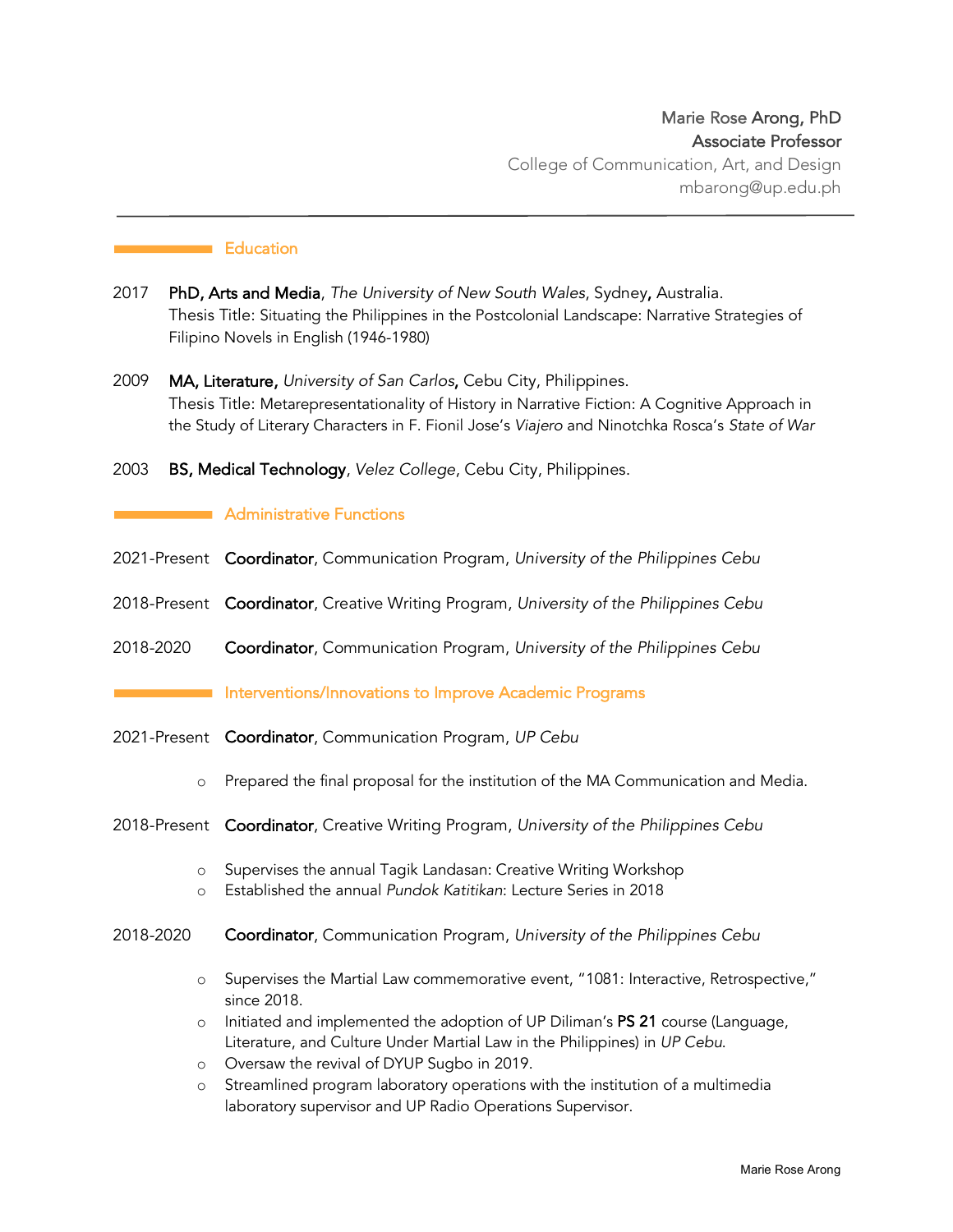# **Education**

- 2017 PhD, Arts and Media, *The University of New South Wales*, Sydney, Australia. Thesis Title: Situating the Philippines in the Postcolonial Landscape: Narrative Strategies of Filipino Novels in English (1946-1980)
- 2009 MA, Literature, *University of San Carlos*, Cebu City, Philippines. Thesis Title: Metarepresentationality of History in Narrative Fiction: A Cognitive Approach in the Study of Literary Characters in F. Fionil Jose's *Viajero* and Ninotchka Rosca's *State of War*

2003 BS, Medical Technology, *Velez College*, Cebu City, Philippines.

## **Administrative Functions**

- 2021-Present Coordinator, Communication Program, *University of the Philippines Cebu*
- 2018-Present Coordinator, Creative Writing Program, *University of the Philippines Cebu*
- 2018-2020 Coordinator, Communication Program, *University of the Philippines Cebu*

## Interventions/Innovations to Improve Academic Programs

- 2021-Present Coordinator, Communication Program, *UP Cebu*
	- o Prepared the final proposal for the institution of the MA Communication and Media.
- 2018-Present Coordinator, Creative Writing Program, *University of the Philippines Cebu*
	- o Supervises the annual Tagik Landasan: Creative Writing Workshop
	- o Established the annual *Pundok Katitikan*: Lecture Series in 2018
- 2018-2020 Coordinator, Communication Program, *University of the Philippines Cebu*
	- o Supervises the Martial Law commemorative event, "1081: Interactive, Retrospective," since 2018.
	- $\circ$  Initiated and implemented the adoption of UP Diliman's PS 21 course (Language, Literature, and Culture Under Martial Law in the Philippines) in *UP Cebu*.
	- o Oversaw the revival of DYUP Sugbo in 2019.
	- o Streamlined program laboratory operations with the institution of a multimedia laboratory supervisor and UP Radio Operations Supervisor.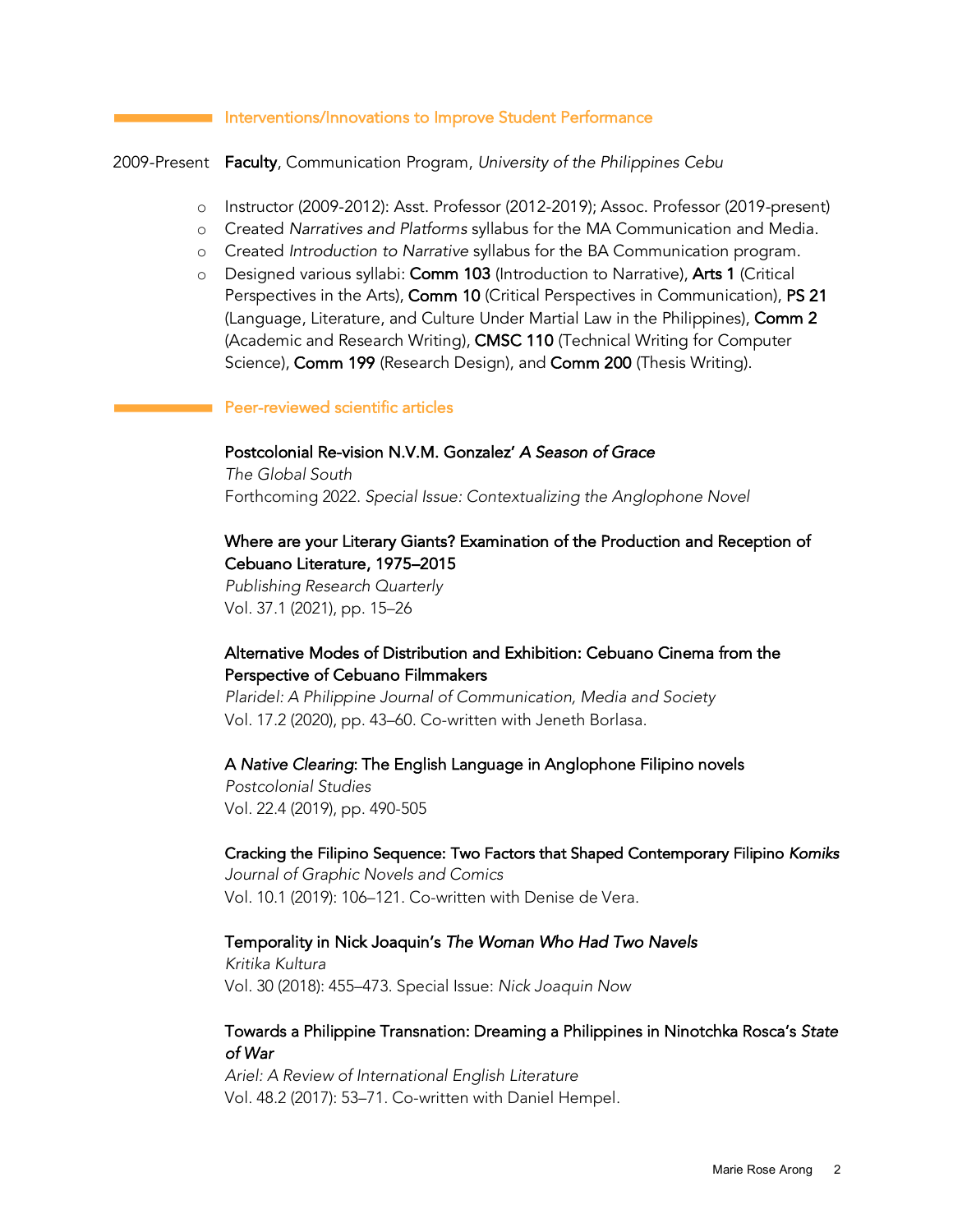#### Interventions/Innovations to Improve Student Performance

2009-Present Faculty, Communication Program, *University of the Philippines Cebu*

- o Instructor (2009-2012): Asst. Professor (2012-2019); Assoc. Professor (2019-present)
- o Created *Narratives and Platforms* syllabus for the MA Communication and Media.
- o Created *Introduction to Narrative* syllabus for the BA Communication program.
- o Designed various syllabi: Comm 103 (Introduction to Narrative), Arts 1 (Critical Perspectives in the Arts), Comm 10 (Critical Perspectives in Communication), PS 21 (Language, Literature, and Culture Under Martial Law in the Philippines), Comm 2 (Academic and Research Writing), CMSC 110 (Technical Writing for Computer Science), Comm 199 (Research Design), and Comm 200 (Thesis Writing).

#### Peer-reviewed scientific articles

#### Postcolonial Re-vision N.V.M. Gonzalez' *A Season of Grace*

*The Global South* Forthcoming 2022. *Special Issue: Contextualizing the Anglophone Novel*

## Where are your Literary Giants? Examination of the Production and Reception of Cebuano Literature, 1975–2015

*Publishing Research Quarterly* Vol. 37.1 (2021), pp. 15–26

# Alternative Modes of Distribution and Exhibition: Cebuano Cinema from the Perspective of Cebuano Filmmakers

*Plaridel: A Philippine Journal of Communication, Media and Society* Vol. 17.2 (2020), pp. 43–60. Co-written with Jeneth Borlasa.

### A *Native Clearing*: The English Language in Anglophone Filipino novels

*Postcolonial Studies* Vol. 22.4 (2019), pp. 490-505

# Cracking the Filipino Sequence: Two Factors that Shaped Contemporary Filipino *Komiks*

*Journal of Graphic Novels and Comics* Vol. 10.1 (2019): 106–121. Co-written with Denise de Vera.

#### Temporality in Nick Joaquin's *The Woman Who Had Two Navels*

*Kritika Kultura* Vol. 30 (2018): 455–473. Special Issue: *Nick Joaquin Now*

### Towards a Philippine Transnation: Dreaming a Philippines in Ninotchka Rosca's *State of War*

*Ariel: A Review of International English Literature* Vol. 48.2 (2017): 53–71. Co-written with Daniel Hempel.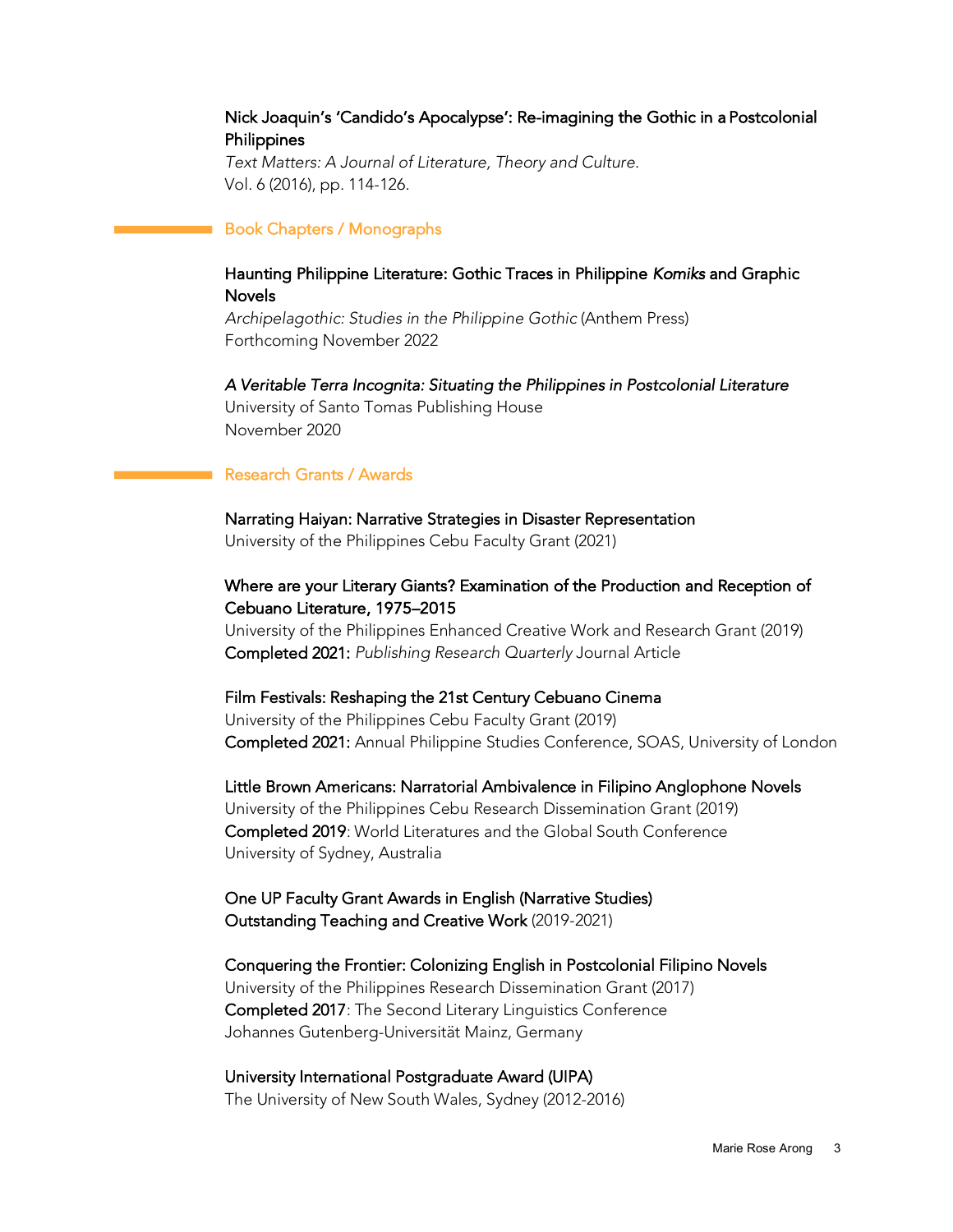# Nick Joaquin's 'Candido's Apocalypse': Re-imagining the Gothic in a Postcolonial Philippines

*Text Matters: A Journal of Literature, Theory and Culture*. Vol. 6 (2016), pp. 114-126.

## Book Chapters / Monographs

# Haunting Philippine Literature: Gothic Traces in Philippine *Komiks* and Graphic Novels

*Archipelagothic: Studies in the Philippine Gothic* (Anthem Press) Forthcoming November 2022

*A Veritable Terra Incognita: Situating the Philippines in Postcolonial Literature* 

University of Santo Tomas Publishing House November 2020

# Research Grants / Awards

Narrating Haiyan: Narrative Strategies in Disaster Representation University of the Philippines Cebu Faculty Grant (2021)

# Where are your Literary Giants? Examination of the Production and Reception of Cebuano Literature, 1975–2015

University of the Philippines Enhanced Creative Work and Research Grant (2019) Completed 2021: *Publishing Research Quarterly* Journal Article

# Film Festivals: Reshaping the 21st Century Cebuano Cinema

University of the Philippines Cebu Faculty Grant (2019) Completed 2021: Annual Philippine Studies Conference, SOAS, University of London

Little Brown Americans: Narratorial Ambivalence in Filipino Anglophone Novels University of the Philippines Cebu Research Dissemination Grant (2019) Completed 2019: World Literatures and the Global South Conference University of Sydney, Australia

# One UP Faculty Grant Awards in English (Narrative Studies) Outstanding Teaching and Creative Work (2019-2021)

Conquering the Frontier: Colonizing English in Postcolonial Filipino Novels University of the Philippines Research Dissemination Grant (2017) Completed 2017: The Second Literary Linguistics Conference Johannes Gutenberg-Universität Mainz, Germany

University International Postgraduate Award (UIPA) The University of New South Wales, Sydney (2012-2016)